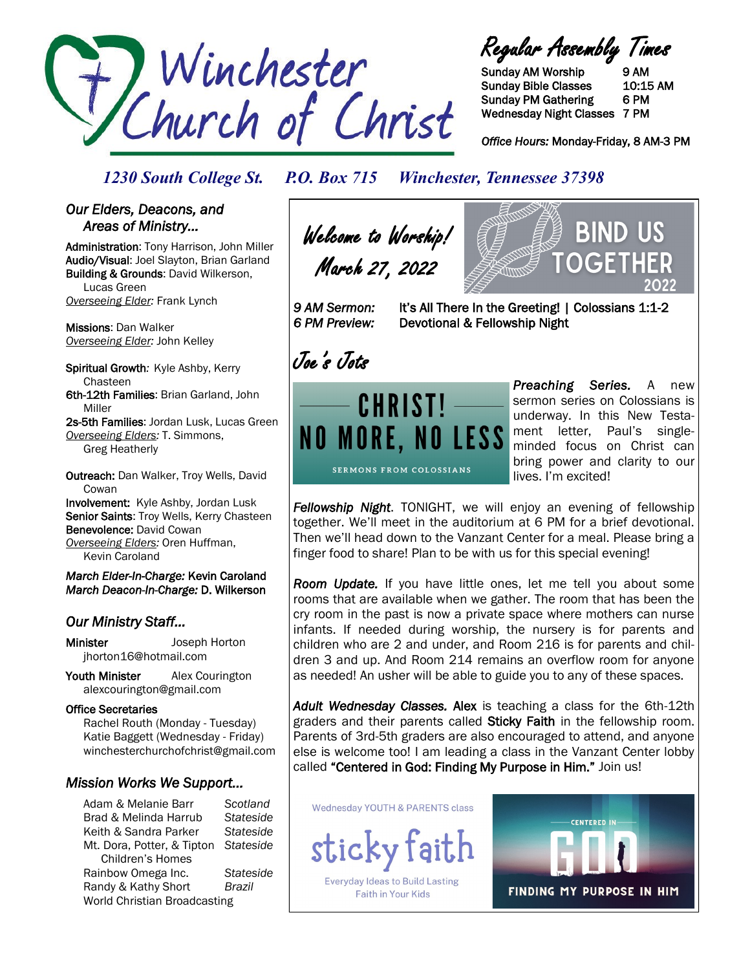

Regular Assembly Times

Sunday AM Worship 9 AM Sunday Bible Classes 10:15 AM Sunday PM Gathering 6 PM Wednesday Night Classes 7 PM

*Office Hours:* Monday-Friday, 8 AM-3 PM

BIND.

OCF

*1230 South College St. P.O. Box 715 Winchester, Tennessee 37398*

## *Our Elders, Deacons, and Areas of Ministry…*

Administration: Tony Harrison, John Miller Audio/Visual: Joel Slayton, Brian Garland Building & Grounds: David Wilkerson, Lucas Green *Overseeing Elder:* Frank Lynch

Missions: Dan Walker *Overseeing Elder:* John Kelley

Spiritual Growth*:* Kyle Ashby, Kerry Chasteen 6th-12th Families: Brian Garland, John Miller

2s-5th Families: Jordan Lusk, Lucas Green *Overseeing Elders:* T. Simmons, Greg Heatherly

Outreach: Dan Walker, Troy Wells, David **Cowan** Involvement: Kyle Ashby, Jordan Lusk Senior Saints: Troy Wells, Kerry Chasteen Benevolence: David Cowan

*Overseeing Elders:* Oren Huffman,

Kevin Caroland

*March Elder-In-Charge:* Kevin Caroland *March Deacon-In-Charge:* D. Wilkerson

# *Our Ministry Staff…*

Minister Joseph Horton jhorton16@hotmail.com

Youth Minister Alex Courington alexcourington@gmail.com

### Office Secretaries

 Rachel Routh (Monday - Tuesday) Katie Baggett (Wednesday - Friday) winchesterchurchofchrist@gmail.com

# *Mission Works We Support…*

Adam & Melanie Barr *Scotland* Brad & Melinda Harrub *Stateside* Keith & Sandra Parker *Stateside* Mt. Dora, Potter, & Tipton *Stateside* Children's Homes Rainbow Omega Inc. *Stateside* Randy & Kathy Short *Brazil* World Christian Broadcasting

Welcome to Worship! March 27, 2022

*9 AM Sermon:* It's All There In the Greeting! | Colossians 1:1-2 *6 PM Preview:* Devotional & Fellowship Night

Joe's Jots



*Preaching Series.* A new sermon series on Colossians is underway. In this New Testament letter, Paul's singleminded focus on Christ can bring power and clarity to our lives. I'm excited!

*Fellowship Night*. TONIGHT, we will enjoy an evening of fellowship together. We'll meet in the auditorium at 6 PM for a brief devotional. Then we'll head down to the Vanzant Center for a meal. Please bring a finger food to share! Plan to be with us for this special evening!

*Room Update.* If you have little ones, let me tell you about some rooms that are available when we gather. The room that has been the cry room in the past is now a private space where mothers can nurse infants. If needed during worship, the nursery is for parents and children who are 2 and under, and Room 216 is for parents and children 3 and up. And Room 214 remains an overflow room for anyone as needed! An usher will be able to guide you to any of these spaces.

*Adult Wednesday Classes.* Alex is teaching a class for the 6th-12th graders and their parents called Sticky Faith in the fellowship room. Parents of 3rd-5th graders are also encouraged to attend, and anyone else is welcome too! I am leading a class in the Vanzant Center lobby called "Centered in God: Finding My Purpose in Him." Join us!

**Wednesday YOUTH & PARENTS class** 



**Faith in Your Kids**